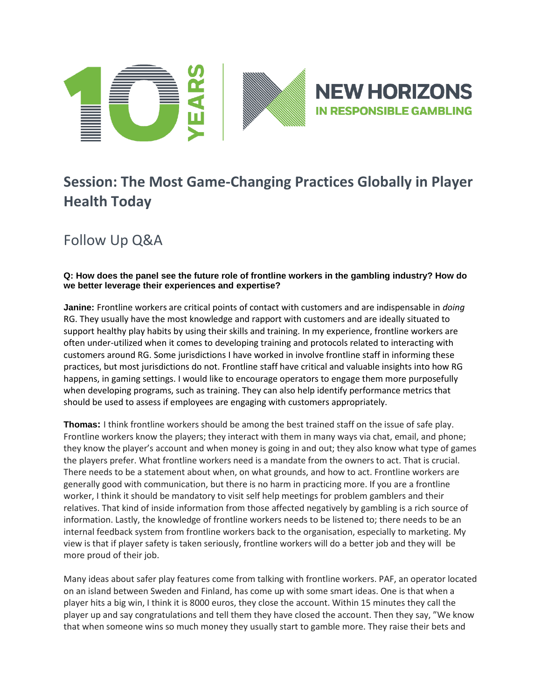

# **Session: The Most Game-Changing Practices Globally in Player Health Today**

Follow Up Q&A

## **Q: How does the panel see the future role of frontline workers in the gambling industry? How do we better leverage their experiences and expertise?**

**Janine:** Frontline workers are critical points of contact with customers and are indispensable in *doing* RG. They usually have the most knowledge and rapport with customers and are ideally situated to support healthy play habits by using their skills and training. In my experience, frontline workers are often under-utilized when it comes to developing training and protocols related to interacting with customers around RG. Some jurisdictions I have worked in involve frontline staff in informing these practices, but most jurisdictions do not. Frontline staff have critical and valuable insights into how RG happens, in gaming settings. I would like to encourage operators to engage them more purposefully when developing programs, such as training. They can also help identify performance metrics that should be used to assess if employees are engaging with customers appropriately.

**Thomas:** I think frontline workers should be among the best trained staff on the issue of safe play. Frontline workers know the players; they interact with them in many ways via chat, email, and phone; they know the player's account and when money is going in and out; they also know what type of games the players prefer. What frontline workers need is a mandate from the owners to act. That is crucial. There needs to be a statement about when, on what grounds, and how to act. Frontline workers are generally good with communication, but there is no harm in practicing more. If you are a frontline worker, I think it should be mandatory to visit self help meetings for problem gamblers and their relatives. That kind of inside information from those affected negatively by gambling is a rich source of information. Lastly, the knowledge of frontline workers needs to be listened to; there needs to be an internal feedback system from frontline workers back to the organisation, especially to marketing. My view is that if player safety is taken seriously, frontline workers will do a better job and they will be more proud of their job.

Many ideas about safer play features come from talking with frontline workers. PAF, an operator located on an island between Sweden and Finland, has come up with some smart ideas. One is that when a player hits a big win, I think it is 8000 euros, they close the account. Within 15 minutes they call the player up and say congratulations and tell them they have closed the account. Then they say, "We know that when someone wins so much money they usually start to gamble more. They raise their bets and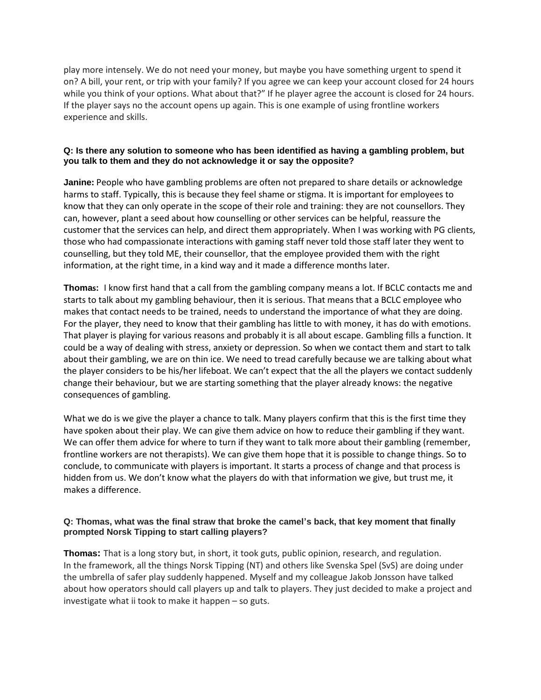play more intensely. We do not need your money, but maybe you have something urgent to spend it on? A bill, your rent, or trip with your family? If you agree we can keep your account closed for 24 hours while you think of your options. What about that?" If he player agree the account is closed for 24 hours. If the player says no the account opens up again. This is one example of using frontline workers experience and skills.

#### **Q: Is there any solution to someone who has been identified as having a gambling problem, but you talk to them and they do not acknowledge it or say the opposite?**

**Janine:** People who have gambling problems are often not prepared to share details or acknowledge harms to staff. Typically, this is because they feel shame or stigma. It is important for employees to know that they can only operate in the scope of their role and training: they are not counsellors. They can, however, plant a seed about how counselling or other services can be helpful, reassure the customer that the services can help, and direct them appropriately. When I was working with PG clients, those who had compassionate interactions with gaming staff never told those staff later they went to counselling, but they told ME, their counsellor, that the employee provided them with the right information, at the right time, in a kind way and it made a difference months later.

**Thomas:** I know first hand that a call from the gambling company means a lot. If BCLC contacts me and starts to talk about my gambling behaviour, then it is serious. That means that a BCLC employee who makes that contact needs to be trained, needs to understand the importance of what they are doing. For the player, they need to know that their gambling has little to with money, it has do with emotions. That player is playing for various reasons and probably it is all about escape. Gambling fills a function. It could be a way of dealing with stress, anxiety or depression. So when we contact them and start to talk about their gambling, we are on thin ice. We need to tread carefully because we are talking about what the player considers to be his/her lifeboat. We can't expect that the all the players we contact suddenly change their behaviour, but we are starting something that the player already knows: the negative consequences of gambling.

What we do is we give the player a chance to talk. Many players confirm that this is the first time they have spoken about their play. We can give them advice on how to reduce their gambling if they want. We can offer them advice for where to turn if they want to talk more about their gambling (remember, frontline workers are not therapists). We can give them hope that it is possible to change things. So to conclude, to communicate with players is important. It starts a process of change and that process is hidden from us. We don't know what the players do with that information we give, but trust me, it makes a difference.

### **Q: Thomas, what was the final straw that broke the camel's back, that key moment that finally prompted Norsk Tipping to start calling players?**

**Thomas:** That is a long story but, in short, it took guts, public opinion, research, and regulation. In the framework, all the things Norsk Tipping (NT) and others like Svenska Spel (SvS) are doing under the umbrella of safer play suddenly happened. Myself and my colleague Jakob Jonsson have talked about how operators should call players up and talk to players. They just decided to make a project and investigate what ii took to make it happen – so guts.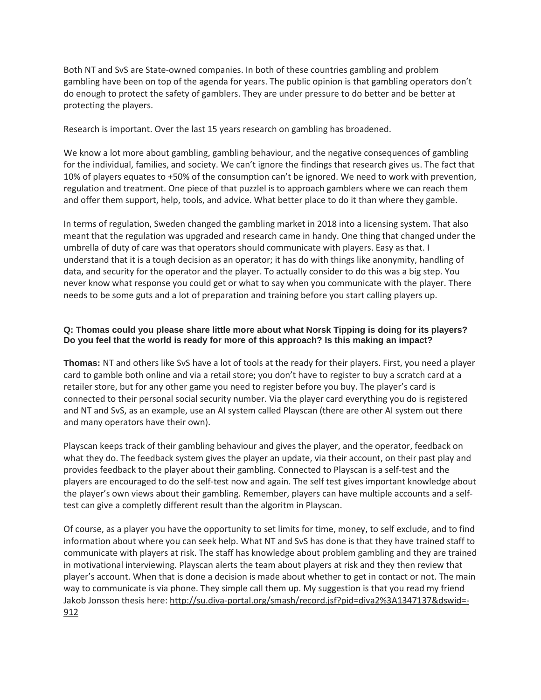Both NT and SvS are State-owned companies. In both of these countries gambling and problem gambling have been on top of the agenda for years. The public opinion is that gambling operators don't do enough to protect the safety of gamblers. They are under pressure to do better and be better at protecting the players.

Research is important. Over the last 15 years research on gambling has broadened.

We know a lot more about gambling, gambling behaviour, and the negative consequences of gambling for the individual, families, and society. We can't ignore the findings that research gives us. The fact that 10% of players equates to +50% of the consumption can't be ignored. We need to work with prevention, regulation and treatment. One piece of that puzzlel is to approach gamblers where we can reach them and offer them support, help, tools, and advice. What better place to do it than where they gamble.

In terms of regulation, Sweden changed the gambling market in 2018 into a licensing system. That also meant that the regulation was upgraded and research came in handy. One thing that changed under the umbrella of duty of care was that operators should communicate with players. Easy as that. I understand that it is a tough decision as an operator; it has do with things like anonymity, handling of data, and security for the operator and the player. To actually consider to do this was a big step. You never know what response you could get or what to say when you communicate with the player. There needs to be some guts and a lot of preparation and training before you start calling players up.

## **Q: Thomas could you please share little more about what Norsk Tipping is doing for its players? Do you feel that the world is ready for more of this approach? Is this making an impact?**

**Thomas:** NT and others like SvS have a lot of tools at the ready for their players. First, you need a player card to gamble both online and via a retail store; you don't have to register to buy a scratch card at a retailer store, but for any other game you need to register before you buy. The player's card is connected to their personal social security number. Via the player card everything you do is registered and NT and SvS, as an example, use an AI system called Playscan (there are other AI system out there and many operators have their own).

Playscan keeps track of their gambling behaviour and gives the player, and the operator, feedback on what they do. The feedback system gives the player an update, via their account, on their past play and provides feedback to the player about their gambling. Connected to Playscan is a self-test and the players are encouraged to do the self-test now and again. The self test gives important knowledge about the player's own views about their gambling. Remember, players can have multiple accounts and a selftest can give a completly different result than the algoritm in Playscan.

Of course, as a player you have the opportunity to set limits for time, money, to self exclude, and to find information about where you can seek help. What NT and SvS has done is that they have trained staff to communicate with players at risk. The staff has knowledge about problem gambling and they are trained in motivational interviewing. Playscan alerts the team about players at risk and they then review that player's account. When that is done a decision is made about whether to get in contact or not. The main way to communicate is via phone. They simple call them up. My suggestion is that you read my friend Jakob Jonsson thesis here: [http://su.diva-portal.org/smash/record.jsf?pid=diva2%3A1347137&dswid=-](http://su.diva-portal.org/smash/record.jsf?pid=diva2%3A1347137&dswid=-912) [912](http://su.diva-portal.org/smash/record.jsf?pid=diva2%3A1347137&dswid=-912)